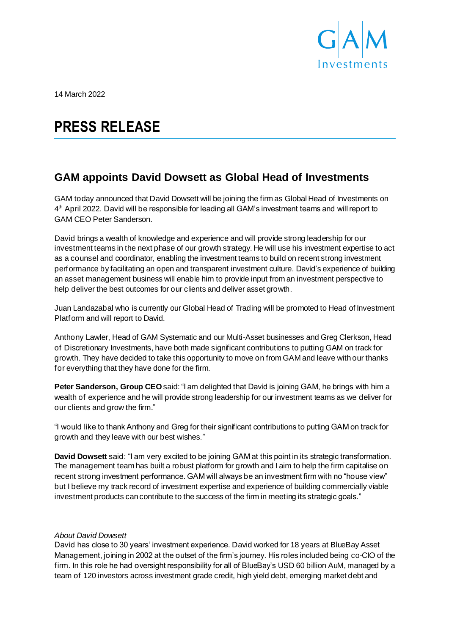

14 March 2022

# **PRESS RELEASE**

## **GAM appoints David Dowsett as Global Head of Investments**

GAM today announced that David Dowsett will be joining the firm as Global Head of Investments on 4<sup>th</sup> April 2022. David will be responsible for leading all GAM's investment teams and will report to GAM CEO Peter Sanderson.

David brings a wealth of knowledge and experience and will provide strong leadership for our investment teams in the next phase of our growth strategy. He will use his investment expertise to act as a counsel and coordinator, enabling the investment teams to build on recent strong investment performance by facilitating an open and transparent investment culture. David's experience of building an asset management business will enable him to provide input from an investment perspective to help deliver the best outcomes for our clients and deliver asset growth.

Juan Landazabal who is currently our Global Head of Trading will be promoted to Head of Investment Platform and will report to David.

Anthony Lawler, Head of GAM Systematic and our Multi-Asset businesses and Greg Clerkson, Head of Discretionary Investments, have both made significant contributions to putting GAM on track for growth. They have decided to take this opportunity to move on from GAM and leave with our thanks for everything that they have done for the firm.

**Peter Sanderson, Group CEO**said: "I am delighted that David is joining GAM, he brings with him a wealth of experience and he will provide strong leadership for our investment teams as we deliver for our clients and grow the firm."

"I would like to thank Anthony and Greg for their significant contributions to putting GAM on track for growth and they leave with our best wishes."

**David Dowsett** said: "I am very excited to be joining GAM at this point in its strategic transformation. The management team has built a robust platform for growth and I aim to help the firm capitalise on recent strong investment performance. GAM will always be an investment firm with no "house view" but I believe my track record of investment expertise and experience of building commercially viable investment products can contribute to the success of the firm in meeting its strategic goals."

### *About David Dowsett*

David has close to 30 years' investment experience. David worked for 18 years at BlueBay Asset Management, joining in 2002 at the outset of the firm's journey. His roles included being co-CIO of the firm. In this role he had oversight responsibility for all of BlueBay's USD 60 billion AuM, managed by a team of 120 investors across investment grade credit, high yield debt, emerging market debt and